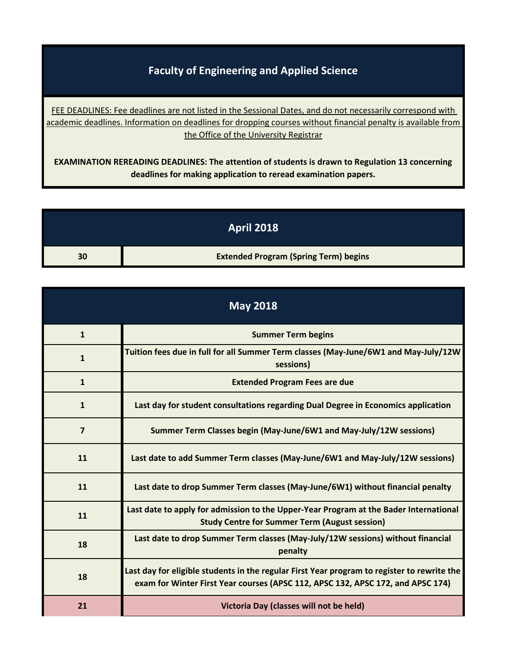## **Faculty of Engineering and Applied Science**

[FEE DEADLINES: Fe](http://www.queensu.ca/registrar/financials/tuition-fees)e deadlines are not listed in the Sessional Dates, and do not necessarily correspond with [academic deadlines.](http://www.queensu.ca/registrar/financials/tuition-fees) Information on deadlines for dropping courses without financial penalty is available from the Office of the University Registrar

**EXAMINATION REREADING DEADLINES: The attention of students is drawn to Regulation 13 concerning deadlines for making application to reread examination papers.**

|    | <b>April 2018</b>                            |
|----|----------------------------------------------|
| 30 | <b>Extended Program (Spring Term) begins</b> |

| <b>May 2018</b> |                                                                                                                                                                                |
|-----------------|--------------------------------------------------------------------------------------------------------------------------------------------------------------------------------|
| $\mathbf{1}$    | <b>Summer Term begins</b>                                                                                                                                                      |
| $\mathbf{1}$    | Tuition fees due in full for all Summer Term classes (May-June/6W1 and May-July/12W<br>sessions)                                                                               |
| $\mathbf{1}$    | <b>Extended Program Fees are due</b>                                                                                                                                           |
| $\mathbf{1}$    | Last day for student consultations regarding Dual Degree in Economics application                                                                                              |
| 7               | Summer Term Classes begin (May-June/6W1 and May-July/12W sessions)                                                                                                             |
| 11              | Last date to add Summer Term classes (May-June/6W1 and May-July/12W sessions)                                                                                                  |
| 11              | Last date to drop Summer Term classes (May-June/6W1) without financial penalty                                                                                                 |
| 11              | Last date to apply for admission to the Upper-Year Program at the Bader International<br><b>Study Centre for Summer Term (August session)</b>                                  |
| 18              | Last date to drop Summer Term classes (May-July/12W sessions) without financial<br>penalty                                                                                     |
| 18              | Last day for eligible students in the regular First Year program to register to rewrite the<br>exam for Winter First Year courses (APSC 112, APSC 132, APSC 172, and APSC 174) |
| 21              | Victoria Day (classes will not be held)                                                                                                                                        |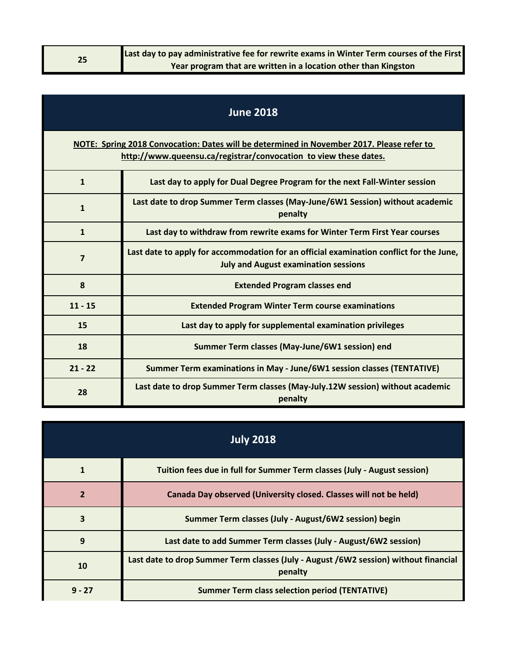| 25 | Last day to pay administrative fee for rewrite exams in Winter Term courses of the First |
|----|------------------------------------------------------------------------------------------|
|    | Year program that are written in a location other than Kingston                          |

| <b>June 2018</b>        |                                                                                                                                                               |  |  |
|-------------------------|---------------------------------------------------------------------------------------------------------------------------------------------------------------|--|--|
|                         | NOTE: Spring 2018 Convocation: Dates will be determined in November 2017. Please refer to<br>http://www.queensu.ca/registrar/convocation to view these dates. |  |  |
| $\mathbf{1}$            | Last day to apply for Dual Degree Program for the next Fall-Winter session                                                                                    |  |  |
| $\mathbf{1}$            | Last date to drop Summer Term classes (May-June/6W1 Session) without academic<br>penalty                                                                      |  |  |
| $\mathbf{1}$            | Last day to withdraw from rewrite exams for Winter Term First Year courses                                                                                    |  |  |
| $\overline{\mathbf{z}}$ | Last date to apply for accommodation for an official examination conflict for the June,<br><b>July and August examination sessions</b>                        |  |  |
| 8                       | <b>Extended Program classes end</b>                                                                                                                           |  |  |
| $11 - 15$               | <b>Extended Program Winter Term course examinations</b>                                                                                                       |  |  |
| 15                      | Last day to apply for supplemental examination privileges                                                                                                     |  |  |
| 18                      | Summer Term classes (May-June/6W1 session) end                                                                                                                |  |  |
| $21 - 22$               | Summer Term examinations in May - June/6W1 session classes (TENTATIVE)                                                                                        |  |  |
| 28                      | Last date to drop Summer Term classes (May-July.12W session) without academic<br>penalty                                                                      |  |  |

| <b>July 2018</b>        |                                                                                                 |
|-------------------------|-------------------------------------------------------------------------------------------------|
|                         | Tuition fees due in full for Summer Term classes (July - August session)                        |
|                         | Canada Day observed (University closed. Classes will not be held)                               |
| $\overline{\mathbf{3}}$ | Summer Term classes (July - August/6W2 session) begin                                           |
| 9                       | Last date to add Summer Term classes (July - August/6W2 session)                                |
| 10                      | Last date to drop Summer Term classes (July - August /6W2 session) without financial<br>penalty |
| $9 - 27$                | <b>Summer Term class selection period (TENTATIVE)</b>                                           |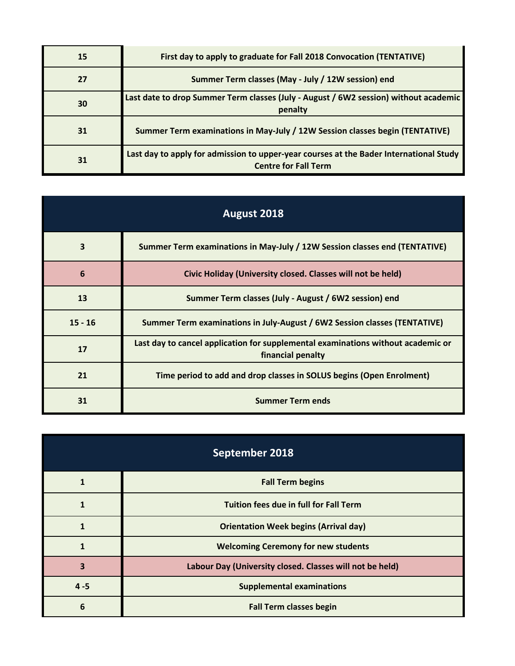| 15 | First day to apply to graduate for Fall 2018 Convocation (TENTATIVE)                                                  |
|----|-----------------------------------------------------------------------------------------------------------------------|
| 27 | Summer Term classes (May - July / 12W session) end                                                                    |
| 30 | Last date to drop Summer Term classes (July - August / 6W2 session) without academic<br>penalty                       |
| 31 | Summer Term examinations in May-July / 12W Session classes begin (TENTATIVE)                                          |
| 31 | Last day to apply for admission to upper-year courses at the Bader International Study<br><b>Centre for Fall Term</b> |

| August 2018             |                                                                                                       |
|-------------------------|-------------------------------------------------------------------------------------------------------|
| $\overline{\mathbf{3}}$ | Summer Term examinations in May-July / 12W Session classes end (TENTATIVE)                            |
| $6\phantom{1}6$         | Civic Holiday (University closed. Classes will not be held)                                           |
| 13                      | Summer Term classes (July - August / 6W2 session) end                                                 |
| $15 - 16$               | Summer Term examinations in July-August / 6W2 Session classes (TENTATIVE)                             |
| 17                      | Last day to cancel application for supplemental examinations without academic or<br>financial penalty |
| 21                      | Time period to add and drop classes in SOLUS begins (Open Enrolment)                                  |
| 31                      | <b>Summer Term ends</b>                                                                               |

| September 2018 |                                                          |
|----------------|----------------------------------------------------------|
| 1              | <b>Fall Term begins</b>                                  |
|                | <b>Tuition fees due in full for Fall Term</b>            |
|                | <b>Orientation Week begins (Arrival day)</b>             |
|                | <b>Welcoming Ceremony for new students</b>               |
| 3              | Labour Day (University closed. Classes will not be held) |
| $4 - 5$        | <b>Supplemental examinations</b>                         |
| 6              | <b>Fall Term classes begin</b>                           |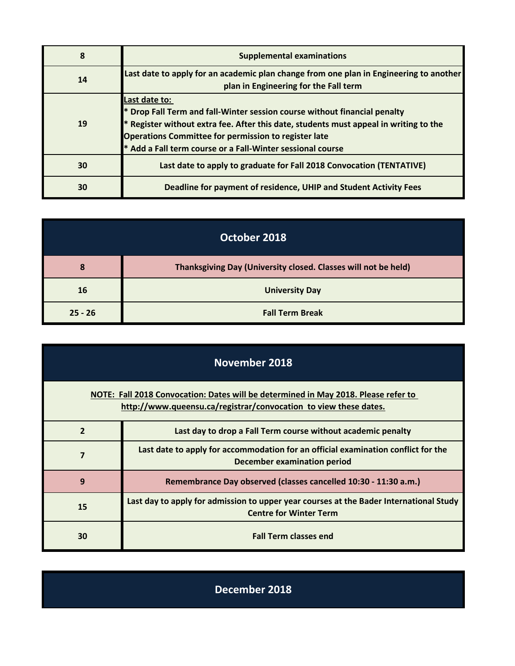| 8  | <b>Supplemental examinations</b>                                                                                                                                                                                                                                                                      |
|----|-------------------------------------------------------------------------------------------------------------------------------------------------------------------------------------------------------------------------------------------------------------------------------------------------------|
| 14 | Last date to apply for an academic plan change from one plan in Engineering to another<br>plan in Engineering for the Fall term                                                                                                                                                                       |
| 19 | Last date to:<br>Drop Fall Term and fall-Winter session course without financial penalty<br>Register without extra fee. After this date, students must appeal in writing to the<br>Operations Committee for permission to register late<br>* Add a Fall term course or a Fall-Winter sessional course |
| 30 | Last date to apply to graduate for Fall 2018 Convocation (TENTATIVE)                                                                                                                                                                                                                                  |
| 30 | Deadline for payment of residence, UHIP and Student Activity Fees                                                                                                                                                                                                                                     |

| October 2018 |                                                                |
|--------------|----------------------------------------------------------------|
| 8            | Thanksgiving Day (University closed. Classes will not be held) |
| <b>16</b>    | <b>University Day</b>                                          |
| $25 - 26$    | <b>Fall Term Break</b>                                         |

| November 2018                                                                                                                                          |                                                                                                                         |
|--------------------------------------------------------------------------------------------------------------------------------------------------------|-------------------------------------------------------------------------------------------------------------------------|
| NOTE: Fall 2018 Convocation: Dates will be determined in May 2018. Please refer to<br>http://www.queensu.ca/registrar/convocation to view these dates. |                                                                                                                         |
| $\overline{2}$                                                                                                                                         | Last day to drop a Fall Term course without academic penalty                                                            |
| 7                                                                                                                                                      | Last date to apply for accommodation for an official examination conflict for the<br>December examination period        |
| 9                                                                                                                                                      | Remembrance Day observed (classes cancelled 10:30 - 11:30 a.m.)                                                         |
| 15                                                                                                                                                     | Last day to apply for admission to upper year courses at the Bader International Study<br><b>Centre for Winter Term</b> |
| 30                                                                                                                                                     | <b>Fall Term classes end</b>                                                                                            |

**December 2018**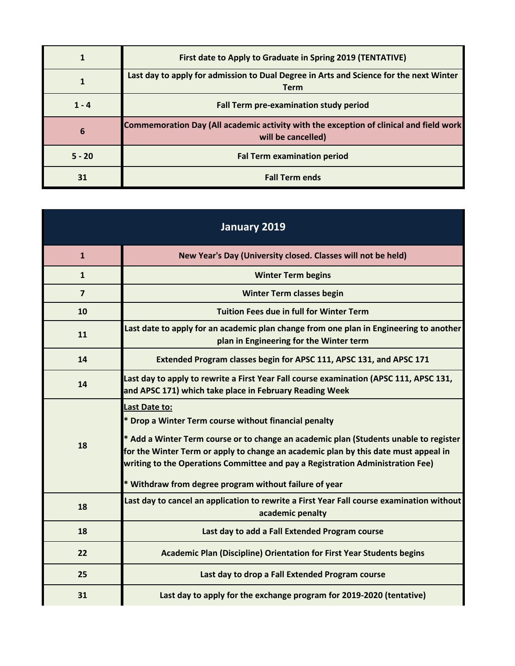|          | First date to Apply to Graduate in Spring 2019 (TENTATIVE)                                                          |
|----------|---------------------------------------------------------------------------------------------------------------------|
|          | Last day to apply for admission to Dual Degree in Arts and Science for the next Winter<br><b>Term</b>               |
| $1 - 4$  | Fall Term pre-examination study period                                                                              |
| 6        | <b>Commemoration Day (All academic activity with the exception of clinical and field work</b><br>will be cancelled) |
| $5 - 20$ | <b>Fal Term examination period</b>                                                                                  |
| 31       | <b>Fall Term ends</b>                                                                                               |

| <b>January 2019</b> |                                                                                                                                                                                                                                                                                                                                                                                                    |
|---------------------|----------------------------------------------------------------------------------------------------------------------------------------------------------------------------------------------------------------------------------------------------------------------------------------------------------------------------------------------------------------------------------------------------|
| $\mathbf{1}$        | New Year's Day (University closed. Classes will not be held)                                                                                                                                                                                                                                                                                                                                       |
| $\mathbf{1}$        | <b>Winter Term begins</b>                                                                                                                                                                                                                                                                                                                                                                          |
| $\overline{7}$      | <b>Winter Term classes begin</b>                                                                                                                                                                                                                                                                                                                                                                   |
| 10                  | <b>Tuition Fees due in full for Winter Term</b>                                                                                                                                                                                                                                                                                                                                                    |
| 11                  | Last date to apply for an academic plan change from one plan in Engineering to another<br>plan in Engineering for the Winter term                                                                                                                                                                                                                                                                  |
| 14                  | Extended Program classes begin for APSC 111, APSC 131, and APSC 171                                                                                                                                                                                                                                                                                                                                |
| 14                  | Last day to apply to rewrite a First Year Fall course examination (APSC 111, APSC 131,<br>and APSC 171) which take place in February Reading Week                                                                                                                                                                                                                                                  |
| 18                  | Last Date to:<br>* Drop a Winter Term course without financial penalty<br>* Add a Winter Term course or to change an academic plan (Students unable to register<br>for the Winter Term or apply to change an academic plan by this date must appeal in<br>writing to the Operations Committee and pay a Registration Administration Fee)<br>* Withdraw from degree program without failure of year |
| 18                  | Last day to cancel an application to rewrite a First Year Fall course examination without<br>academic penalty                                                                                                                                                                                                                                                                                      |
| 18                  | Last day to add a Fall Extended Program course                                                                                                                                                                                                                                                                                                                                                     |
| 22                  | <b>Academic Plan (Discipline) Orientation for First Year Students begins</b>                                                                                                                                                                                                                                                                                                                       |
| 25                  | Last day to drop a Fall Extended Program course                                                                                                                                                                                                                                                                                                                                                    |
| 31                  | Last day to apply for the exchange program for 2019-2020 (tentative)                                                                                                                                                                                                                                                                                                                               |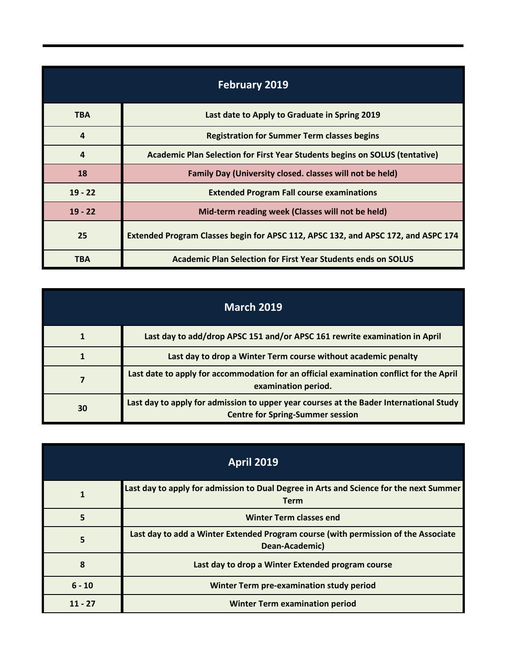| <b>February 2019</b> |                                                                                   |
|----------------------|-----------------------------------------------------------------------------------|
| <b>TBA</b>           | Last date to Apply to Graduate in Spring 2019                                     |
| $\overline{a}$       | <b>Registration for Summer Term classes begins</b>                                |
| $\boldsymbol{4}$     | Academic Plan Selection for First Year Students begins on SOLUS (tentative)       |
| 18                   | Family Day (University closed. classes will not be held)                          |
| $19 - 22$            | <b>Extended Program Fall course examinations</b>                                  |
| $19 - 22$            | Mid-term reading week (Classes will not be held)                                  |
| 25                   | Extended Program Classes begin for APSC 112, APSC 132, and APSC 172, and ASPC 174 |
| <b>TBA</b>           | Academic Plan Selection for First Year Students ends on SOLUS                     |

| <b>March 2019</b> |                                                                                                                                   |
|-------------------|-----------------------------------------------------------------------------------------------------------------------------------|
|                   | Last day to add/drop APSC 151 and/or APSC 161 rewrite examination in April                                                        |
|                   | Last day to drop a Winter Term course without academic penalty                                                                    |
|                   | Last date to apply for accommodation for an official examination conflict for the April<br>examination period.                    |
| 30                | Last day to apply for admission to upper year courses at the Bader International Study<br><b>Centre for Spring-Summer session</b> |

| <b>April 2019</b> |                                                                                                       |
|-------------------|-------------------------------------------------------------------------------------------------------|
|                   | Last day to apply for admission to Dual Degree in Arts and Science for the next Summer<br><b>Term</b> |
| 5                 | <b>Winter Term classes end</b>                                                                        |
| 5                 | Last day to add a Winter Extended Program course (with permission of the Associate<br>Dean-Academic)  |
| 8                 | Last day to drop a Winter Extended program course                                                     |
| $6 - 10$          | Winter Term pre-examination study period                                                              |
| $11 - 27$         | <b>Winter Term examination period</b>                                                                 |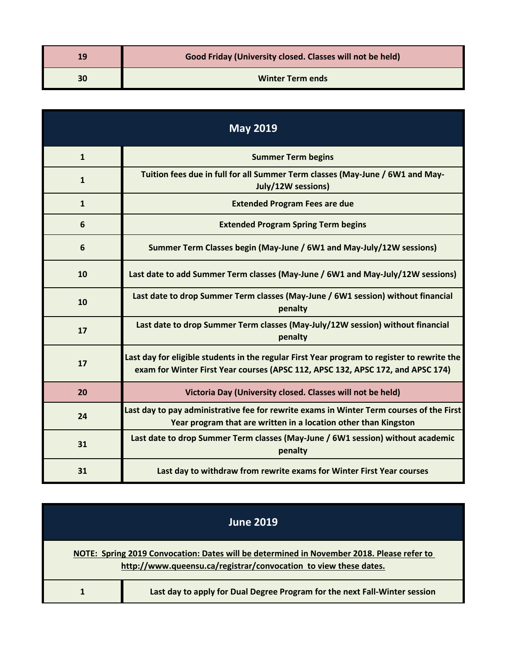| 19 | Good Friday (University closed. Classes will not be held) |
|----|-----------------------------------------------------------|
| 30 | <b>Winter Term ends</b>                                   |

| <b>May 2019</b> |                                                                                                                                                                                |
|-----------------|--------------------------------------------------------------------------------------------------------------------------------------------------------------------------------|
| $\mathbf{1}$    | <b>Summer Term begins</b>                                                                                                                                                      |
| $\mathbf{1}$    | Tuition fees due in full for all Summer Term classes (May-June / 6W1 and May-<br>July/12W sessions)                                                                            |
| $\mathbf{1}$    | <b>Extended Program Fees are due</b>                                                                                                                                           |
| 6               | <b>Extended Program Spring Term begins</b>                                                                                                                                     |
| 6               | Summer Term Classes begin (May-June / 6W1 and May-July/12W sessions)                                                                                                           |
| 10              | Last date to add Summer Term classes (May-June / 6W1 and May-July/12W sessions)                                                                                                |
| 10              | Last date to drop Summer Term classes (May-June / 6W1 session) without financial<br>penalty                                                                                    |
| 17              | Last date to drop Summer Term classes (May-July/12W session) without financial<br>penalty                                                                                      |
| 17              | Last day for eligible students in the regular First Year program to register to rewrite the<br>exam for Winter First Year courses (APSC 112, APSC 132, APSC 172, and APSC 174) |
| 20              | Victoria Day (University closed. Classes will not be held)                                                                                                                     |
| 24              | Last day to pay administrative fee for rewrite exams in Winter Term courses of the First<br>Year program that are written in a location other than Kingston                    |
| 31              | Last date to drop Summer Term classes (May-June / 6W1 session) without academic<br>penalty                                                                                     |
| 31              | Last day to withdraw from rewrite exams for Winter First Year courses                                                                                                          |

| <b>June 2019</b>                                                                                                                                              |
|---------------------------------------------------------------------------------------------------------------------------------------------------------------|
| NOTE: Spring 2019 Convocation: Dates will be determined in November 2018. Please refer to<br>http://www.queensu.ca/registrar/convocation to view these dates. |
| Last day to apply for Dual Degree Program for the next Fall-Winter session                                                                                    |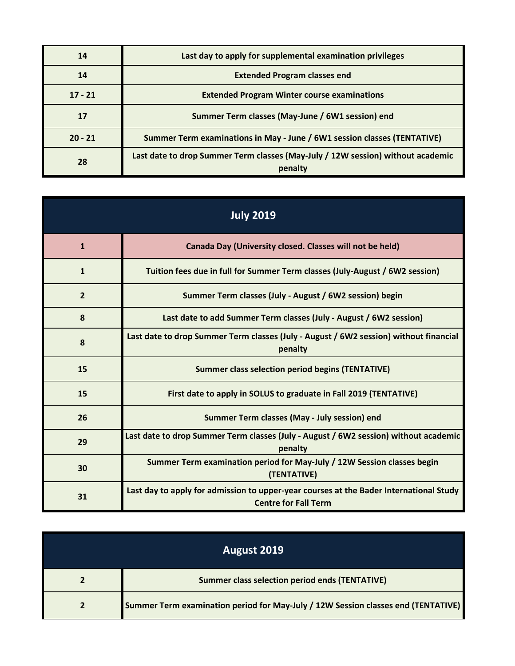| 14        | Last day to apply for supplemental examination privileges                                  |
|-----------|--------------------------------------------------------------------------------------------|
| 14        | <b>Extended Program classes end</b>                                                        |
| $17 - 21$ | <b>Extended Program Winter course examinations</b>                                         |
| 17        | Summer Term classes (May-June / 6W1 session) end                                           |
| $20 - 21$ | Summer Term examinations in May - June / 6W1 session classes (TENTATIVE)                   |
| 28        | Last date to drop Summer Term classes (May-July / 12W session) without academic<br>penalty |

| <b>July 2019</b> |                                                                                                                       |
|------------------|-----------------------------------------------------------------------------------------------------------------------|
| $\mathbf{1}$     | Canada Day (University closed. Classes will not be held)                                                              |
| $\mathbf{1}$     | Tuition fees due in full for Summer Term classes (July-August / 6W2 session)                                          |
| $\overline{2}$   | Summer Term classes (July - August / 6W2 session) begin                                                               |
| 8                | Last date to add Summer Term classes (July - August / 6W2 session)                                                    |
| 8                | Last date to drop Summer Term classes (July - August / 6W2 session) without financial<br>penalty                      |
| 15               | <b>Summer class selection period begins (TENTATIVE)</b>                                                               |
| 15               | First date to apply in SOLUS to graduate in Fall 2019 (TENTATIVE)                                                     |
| 26               | Summer Term classes (May - July session) end                                                                          |
| 29               | Last date to drop Summer Term classes (July - August / 6W2 session) without academic<br>penalty                       |
| 30               | Summer Term examination period for May-July / 12W Session classes begin<br>(TENTATIVE)                                |
| 31               | Last day to apply for admission to upper-year courses at the Bader International Study<br><b>Centre for Fall Term</b> |

| August 2019 |                                                                                   |
|-------------|-----------------------------------------------------------------------------------|
|             | <b>Summer class selection period ends (TENTATIVE)</b>                             |
|             | Summer Term examination period for May-July / 12W Session classes end (TENTATIVE) |